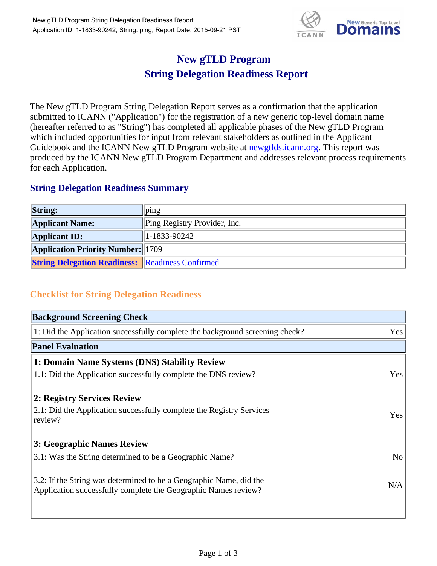

## **New gTLD Program String Delegation Readiness Report**

The New gTLD Program String Delegation Report serves as a confirmation that the application submitted to ICANN ("Application") for the registration of a new generic top-level domain name (hereafter referred to as "String") has completed all applicable phases of the New gTLD Program which included opportunities for input from relevant stakeholders as outlined in the Applicant Guidebook and the ICANN New gTLD Program website at newgtlds.icann.org. This report was produced by the ICANN New gTLD Program Department and addresses relevant process requirements for each Application.

## **String Delegation Readiness Summary**

| <b>String:</b>                                          | $_{p_1p_2}$                  |
|---------------------------------------------------------|------------------------------|
| <b>Applicant Name:</b>                                  | Ping Registry Provider, Inc. |
| <b>Applicant ID:</b>                                    | $ 1-1833-90242 $             |
| <b>Application Priority Number:</b> 1709                |                              |
| <b>String Delegation Readiness:</b> Readiness Confirmed |                              |

## **Checklist for String Delegation Readiness**

| <b>Background Screening Check</b>                                               |                |  |
|---------------------------------------------------------------------------------|----------------|--|
| 1: Did the Application successfully complete the background screening check?    | Yes            |  |
| <b>Panel Evaluation</b>                                                         |                |  |
| 1: Domain Name Systems (DNS) Stability Review                                   |                |  |
| 1.1: Did the Application successfully complete the DNS review?                  | Yes            |  |
| 2: Registry Services Review                                                     |                |  |
|                                                                                 |                |  |
| 2.1: Did the Application successfully complete the Registry Services<br>review? | <b>Yes</b>     |  |
|                                                                                 |                |  |
| 3: Geographic Names Review                                                      |                |  |
| 3.1: Was the String determined to be a Geographic Name?                         | N <sub>0</sub> |  |
| 3.2: If the String was determined to be a Geographic Name, did the              |                |  |
| Application successfully complete the Geographic Names review?                  | N/A            |  |
|                                                                                 |                |  |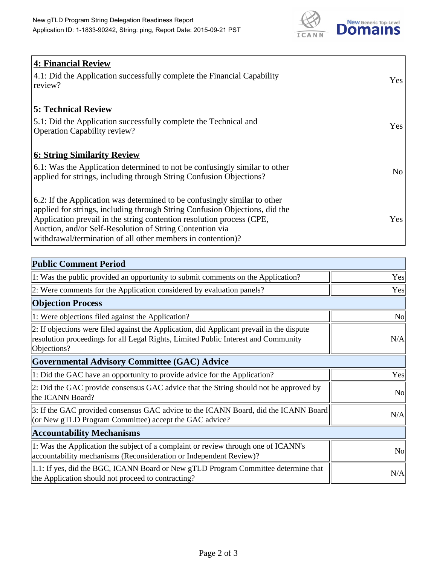

| <b>4: Financial Review</b>                                                         |     |
|------------------------------------------------------------------------------------|-----|
| $\vert$ 4.1: Did the Application successfully complete the Financial Capability    | Yes |
| review?                                                                            |     |
|                                                                                    |     |
| <b>5: Technical Review</b>                                                         |     |
| 5.1: Did the Application successfully complete the Technical and                   | Yes |
| <b>Operation Capability review?</b>                                                |     |
|                                                                                    |     |
| <b>6: String Similarity Review</b>                                                 |     |
| $\vert$ 6.1: Was the Application determined to not be confusingly similar to other | No  |
| applied for strings, including through String Confusion Objections?                |     |
|                                                                                    |     |
| 6.2: If the Application was determined to be confusingly similar to other          |     |
| applied for strings, including through String Confusion Objections, did the        |     |
| Application prevail in the string contention resolution process (CPE,              | Yes |
| Auction, and/or Self-Resolution of String Contention via                           |     |
| withdrawal/termination of all other members in contention)?                        |     |

| <b>Public Comment Period</b>                                                                                                                                                                   |                |
|------------------------------------------------------------------------------------------------------------------------------------------------------------------------------------------------|----------------|
| 1: Was the public provided an opportunity to submit comments on the Application?                                                                                                               | Yes            |
| 2: Were comments for the Application considered by evaluation panels?                                                                                                                          | Yes            |
| <b>Objection Process</b>                                                                                                                                                                       |                |
| 1: Were objections filed against the Application?                                                                                                                                              | <b>No</b>      |
| 2: If objections were filed against the Application, did Applicant prevail in the dispute<br>resolution proceedings for all Legal Rights, Limited Public Interest and Community<br>Objections? | N/A            |
| <b>Governmental Advisory Committee (GAC) Advice</b>                                                                                                                                            |                |
| 1: Did the GAC have an opportunity to provide advice for the Application?                                                                                                                      | Yes            |
| 2: Did the GAC provide consensus GAC advice that the String should not be approved by<br>the ICANN Board?                                                                                      | <b>No</b>      |
| 3: If the GAC provided consensus GAC advice to the ICANN Board, did the ICANN Board<br>(or New gTLD Program Committee) accept the GAC advice?                                                  | N/A            |
| <b>Accountability Mechanisms</b>                                                                                                                                                               |                |
| 1: Was the Application the subject of a complaint or review through one of ICANN's<br>accountability mechanisms (Reconsideration or Independent Review)?                                       | N <sub>0</sub> |
| 1.1: If yes, did the BGC, ICANN Board or New gTLD Program Committee determine that<br>the Application should not proceed to contracting?                                                       | N/A            |